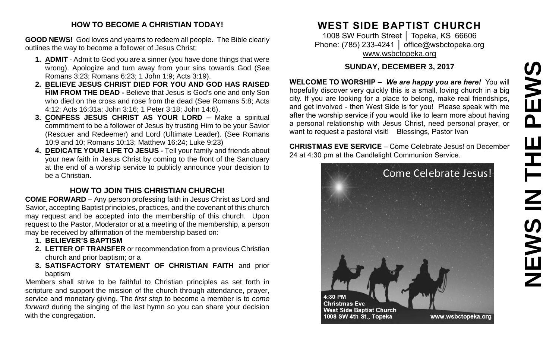# EWS **NEWS IN THE PEWS** $\overline{\mathbf{a}}$ Ш  $\mathbf{Z}$

#### **HOW TO BECOME A CHRISTIAN TODAY!**

**GOOD NEWS!** God loves and yearns to redeem all people. The Bible clearly outlines the way to become a follower of Jesus Christ:

- **1. ADMIT** Admit to God you are a sinner (you have done things that were wrong). Apologize and turn away from your sins towards God (See Romans 3:23; Romans 6:23; 1 John 1:9; Acts 3:19).
- **2. BELIEVE JESUS CHRIST DIED FOR YOU AND GOD HAS RAISED HIM FROM THE DEAD -** Believe that Jesus is God's one and only Son who died on the cross and rose from the dead (See Romans 5:8; Acts 4:12; Acts 16:31a; John 3:16; 1 Peter 3:18; John 14:6).
- **3. CONFESS JESUS CHRIST AS YOUR LORD –** Make a spiritual commitment to be a follower of Jesus by trusting Him to be your Savior (Rescuer and Redeemer) and Lord (Ultimate Leader). (See Romans 10:9 and 10; Romans 10:13; Matthew 16:24; Luke 9:23)
- **4. DEDICATE YOUR LIFE TO JESUS -** Tell your family and friends about your new faith in Jesus Christ by coming to the front of the Sanctuary at the end of a worship service to publicly announce your decision to be a Christian.

## **HOW TO JOIN THIS CHRISTIAN CHURCH!**

**COME FORWARD** – Any person professing faith in Jesus Christ as Lord and Savior, accepting Baptist principles, practices, and the covenant of this church may request and be accepted into the membership of this church. Upon request to the Pastor, Moderator or at a meeting of the membership, a person may be received by affirmation of the membership based on:

- **1. BELIEVER'S BAPTISM**
- **2. LETTER OF TRANSFER** or recommendation from a previous Christian church and prior baptism; or a
- **3. SATISFACTORY STATEMENT OF CHRISTIAN FAITH** and prior baptism

Members shall strive to be faithful to Christian principles as set forth in scripture and support the mission of the church through attendance, prayer, service and monetary giving. The *first step* to become a member is to *come forward* during the singing of the last hymn so you can share your decision with the congregation.

# **WEST SIDE BAPTIST CHURCH**

1008 SW Fourth Street │ Topeka, KS 66606 Phone: (785) 233-4241 │ [office@wsbctopeka.org](mailto:office@wsbctopeka.org) [www.wsbctopeka.org](http://www.wsbctopeka.org/)

## **SUNDAY, DECEMBER 3, 2017**

**WELCOME TO WORSHIP –** *We are happy you are here!* You will hopefully discover very quickly this is a small, loving church in a big city. If you are looking for a place to belong, make real friendships, and get involved - then West Side is for you! Please speak with me after the worship service if you would like to learn more about having a personal relationship with Jesus Christ, need personal prayer, or want to request a pastoral visit! Blessings, Pastor Ivan

**CHRISTMAS EVE SERVICE** – Come Celebrate Jesus! on December 24 at 4:30 pm at the Candlelight Communion Service.

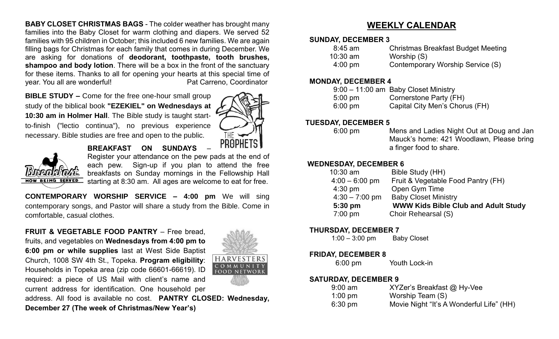**BABY CLOSET CHRISTMAS BAGS** - The colder weather has brought many families into the Baby Closet for warm clothing and diapers. We served 52 families with 95 children in October; this included 6 new families. We are again filling bags for Christmas for each family that comes in during December. We are asking for donations of **deodorant, toothpaste, tooth brushes, shampoo and body lotion**. There will be a box in the front of the sanctuary for these items. Thanks to all for opening your hearts at this special time of year. You all are wonderful! example and the Pat Carreno, Coordinator

**BIBLE STUDY –** Come for the free one-hour small group study of the biblical book **"EZEKIEL" on Wednesdays at 10:30 am in Holmer Hall**. The Bible study is taught startto-finish ("lectio continua"), no previous experience necessary. Bible studies are free and open to the public.





**BREAKFAST ON SUNDAYS** –

Register your attendance on the pew pads at the end of each pew. Sign-up if you plan to attend the free breakfasts on Sunday mornings in the Fellowship Hall starting at 8:30 am. All ages are welcome to eat for free.

**CONTEMPORARY WORSHIP SERVICE – 4:00 pm** We will sing contemporary songs, and Pastor will share a study from the Bible. Come in comfortable, casual clothes.

**FRUIT & VEGETABLE FOOD PANTRY** – Free bread, fruits, and vegetables on **Wednesdays from 4:00 pm to 6:00 pm or while supplies** last at West Side Baptist Church, 1008 SW 4th St., Topeka. **Program eligibility**: Households in Topeka area (zip code 66601-66619). ID required: a piece of US Mail with client's name and current address for identification. One household per



address. All food is available no cost. **PANTRY CLOSED: Wednesday, December 27 (The week of Christmas/New Year's)** 

## **WEEKLY CALENDAR**

#### **SUNDAY, DECEMBER 3**

| 8:45 am           | <b>Christmas Breakfast Budget Meeting</b> |
|-------------------|-------------------------------------------|
| $10:30$ am        | Worship (S)                               |
| $4:00 \text{ pm}$ | Contemporary Worship Service (S)          |

#### **MONDAY, DECEMBER 4**

|                   | 9:00 - 11:00 am Baby Closet Ministry |
|-------------------|--------------------------------------|
| $5:00 \text{ pm}$ | Cornerstone Party (FH)               |
| $6:00 \text{ pm}$ | Capital City Men's Chorus (FH)       |

#### **TUESDAY, DECEMBER 5**

6:00 pm Mens and Ladies Night Out at Doug and Jan Mauck's home: 421 Woodlawn, Please bring a finger food to share.

#### **WEDNESDAY, DECEMBER 6**

| 10:30 am         | Bible Study (HH)                           |
|------------------|--------------------------------------------|
| $4:00 - 6:00$ pm | Fruit & Vegetable Food Pantry (FH)         |
| $4:30$ pm        | Open Gym Time                              |
| $4:30 - 7:00$ pm | <b>Baby Closet Ministry</b>                |
| $5:30$ pm        | <b>WWW Kids Bible Club and Adult Study</b> |
| 7:00 pm          | Choir Rehearsal (S)                        |

#### **THURSDAY, DECEMBER 7**

1:00 – 3:00 pm Baby Closet

#### **FRIDAY, DECEMBER 8**

6:00 pm Youth Lock-in

#### **SATURDAY, DECEMBER 9**

| $9:00$ am         | XYZer's Breakfast @ Hy-Vee               |
|-------------------|------------------------------------------|
| $1:00 \text{ pm}$ | Worship Team (S)                         |
| $6:30 \text{ pm}$ | Movie Night "It's A Wonderful Life" (HH) |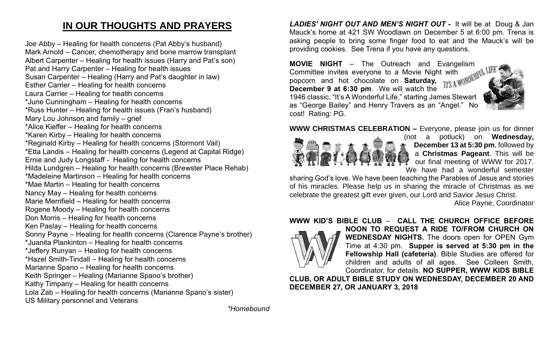# **IN OUR THOUGHTS AND PRAYERS**

Joe Abby – Healing for health concerns (Pat Abby's husband) Mark Arnold – Cancer, chemotherapy and bone marrow transplant Albert Carpenter – Healing for health issues (Harry and Pat's son) Pat and Harry Carpenter – Healing for health issues Susan Carpenter – Healing (Harry and Pat's daughter in law) Esther Carrier – Healing for health concerns Laura Carrier – Healing for health concerns \*June Cunningham – Healing for health concerns \*Russ Hunter – Healing for health issues (Fran's husband) Mary Lou Johnson and family – grief \*Alice Kieffer – Healing for health concerns \*Karen Kirby – Healing for health concerns \*Reginald Kirby – Healing for health concerns (Stormont Vail) \*Etta Landis – Healing for health concerns (Legend at Capital Ridge) Ernie and Judy Longstaff - Healing for health concerns Hilda Lundgren – Healing for health concerns (Brewster Place Rehab) \*Madeleine Martinson – Healing for health concerns \*Mae Martin – Healing for health concerns Nancy May – Healing for health concerns Marie Merrifield – Healing for health concerns Rogene Moody – Healing for health concerns Don Morris – Healing for health concerns Ken Paslay – Healing for health concerns Sonny Payne – Healing for health concerns (Clarence Payne's brother) \*Juanita Plankinton – Healing for health concerns \*Jeffery Runyan – Healing for health concerns \*Hazel Smith-Tindall – Healing for health concerns Marianne Spano – Healing for health concerns Keith Springer – Healing (Marianne Spano's brother) Kathy Timpany – Healing for health concerns Lola Zab – Healing for health concerns (Marianne Spano's sister) US Military personnel and Veterans

*LADIES' NIGHT OUT AND MEN'S NIGHT OUT* **-** It will be at Doug & Jan Mauck's home at 421 SW Woodlawn on December 5 at 6:00 pm. Trena is asking people to bring some finger food to eat and the Mauck's will be providing cookies. See Trena if you have any questions.

**MOVIE NIGHT** – The Outreach and Evangelism Committee invites everyone to a Movie Night with popcorn and hot chocolate on **Saturday, December 9 at 6:30 pm**. We will watch the 1946 classic, "It's A Wonderful Life," starting James Stewart as "George Bailey" and Henry Travers as an "Angel." No cost! Rating: PG.





(not a potluck) on **Wednesday, December 13 at 5:30 pm**, followed by a **Christmas Pageant**. This will be our final meeting of WWW for 2017. We have had a wonderful semester

sharing God's love. We have been teaching the Parables of Jesus and stories of his miracles. Please help us in sharing the miracle of Christmas as we celebrate the greatest gift ever given, our Lord and Savior Jesus Christ.

Alice Payne, Coordinator

#### **WWW KID'S BIBLE CLUB** – **CALL THE CHURCH OFFICE BEFORE**



**NOON TO REQUEST A RIDE TO/FROM CHURCH ON WEDNESDAY NIGHTS.** The doors open for OPEN Gym Time at 4:30 pm. **Supper is served at 5:30 pm in the Fellowship Hall (cafeteria)**. Bible Studies are offered for children and adults of all ages. See Colleen Smith, Coordinator, for details. **NO SUPPER, WWW KIDS BIBLE** 

**CLUB, OR ADULT BIBLE STUDY ON WEDNESDAY, DECEMBER 20 AND DECEMBER 27, OR JANUARY 3, 2018**